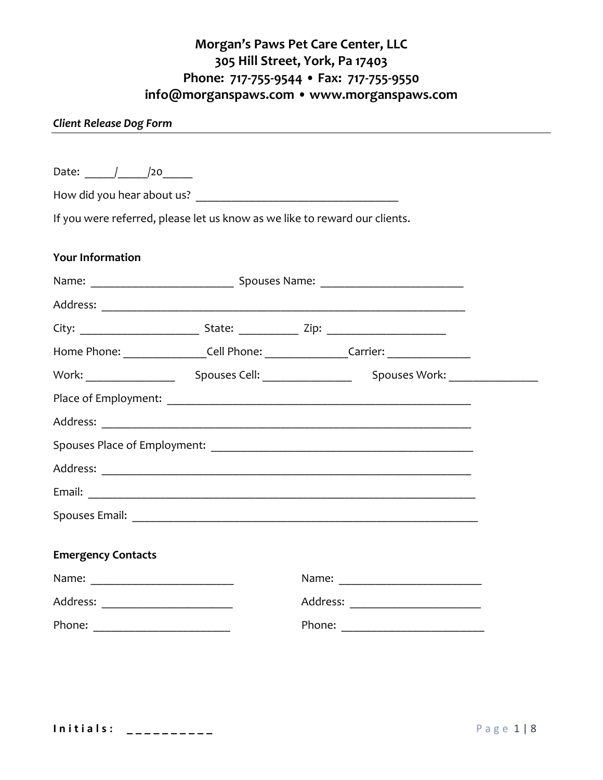#### *Client Release Dog Form*

| Date: / /20                        |                                                                                   |  |
|------------------------------------|-----------------------------------------------------------------------------------|--|
|                                    |                                                                                   |  |
|                                    |                                                                                   |  |
|                                    | If you were referred, please let us know as we like to reward our clients.        |  |
| <b>Your Information</b>            |                                                                                   |  |
|                                    |                                                                                   |  |
|                                    |                                                                                   |  |
|                                    |                                                                                   |  |
|                                    | Home Phone: __________________Cell Phone: _________________Carrier: _____________ |  |
|                                    |                                                                                   |  |
|                                    |                                                                                   |  |
|                                    |                                                                                   |  |
|                                    |                                                                                   |  |
|                                    |                                                                                   |  |
|                                    |                                                                                   |  |
|                                    |                                                                                   |  |
|                                    |                                                                                   |  |
| <b>Emergency Contacts</b>          |                                                                                   |  |
|                                    |                                                                                   |  |
| Address: ________________________  | Address: ________________________                                                 |  |
| Phone: ___________________________ |                                                                                   |  |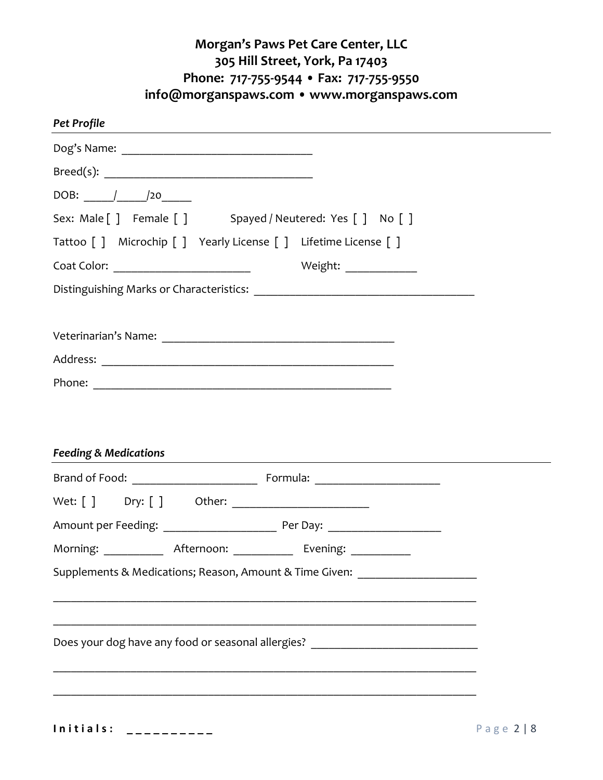| $\text{Breed(s):} \begin{tabular}{ c c c } \hline \multicolumn{3}{ c }{ \hline \multicolumn{3}{ c }{ \hline \multicolumn{3}{ c }{ \hline \multicolumn{3}{ c }{ \hline \multicolumn{3}{ c }{ \hline \multicolumn{3}{ c }{ \hline \multicolumn{3}{ c }{ \hline \multicolumn{3}{ c }{ \hline \multicolumn{3}{ c }{ \hline \multicolumn{3}{ c }{ \hline \multicolumn{3}{ c }{ \hline \multicolumn{3}{ c }{ \hline \multicolumn{3}{ c }{ \hline \multicolumn{3}{ c }{ \h$ |                                                                                                                                                                                                                                  |  |
|----------------------------------------------------------------------------------------------------------------------------------------------------------------------------------------------------------------------------------------------------------------------------------------------------------------------------------------------------------------------------------------------------------------------------------------------------------------------|----------------------------------------------------------------------------------------------------------------------------------------------------------------------------------------------------------------------------------|--|
| DOB: ______/_______/20_______                                                                                                                                                                                                                                                                                                                                                                                                                                        |                                                                                                                                                                                                                                  |  |
|                                                                                                                                                                                                                                                                                                                                                                                                                                                                      | Sex: Male [] Female [] Spayed / Neutered: Yes [] No []                                                                                                                                                                           |  |
|                                                                                                                                                                                                                                                                                                                                                                                                                                                                      | Tattoo [ ] Microchip [ ] Yearly License [ ] Lifetime License [ ]                                                                                                                                                                 |  |
|                                                                                                                                                                                                                                                                                                                                                                                                                                                                      |                                                                                                                                                                                                                                  |  |
|                                                                                                                                                                                                                                                                                                                                                                                                                                                                      |                                                                                                                                                                                                                                  |  |
|                                                                                                                                                                                                                                                                                                                                                                                                                                                                      |                                                                                                                                                                                                                                  |  |
|                                                                                                                                                                                                                                                                                                                                                                                                                                                                      |                                                                                                                                                                                                                                  |  |
|                                                                                                                                                                                                                                                                                                                                                                                                                                                                      |                                                                                                                                                                                                                                  |  |
|                                                                                                                                                                                                                                                                                                                                                                                                                                                                      |                                                                                                                                                                                                                                  |  |
|                                                                                                                                                                                                                                                                                                                                                                                                                                                                      |                                                                                                                                                                                                                                  |  |
|                                                                                                                                                                                                                                                                                                                                                                                                                                                                      | Feeding & Medications<br>The Manual Contract of the Manual Contract of the Manual Contract of the Manual Contract of the Manual Contract of the Manual Contract of the Manual Contract of the Manual Contract of the Manual Cont |  |
|                                                                                                                                                                                                                                                                                                                                                                                                                                                                      |                                                                                                                                                                                                                                  |  |
|                                                                                                                                                                                                                                                                                                                                                                                                                                                                      |                                                                                                                                                                                                                                  |  |
|                                                                                                                                                                                                                                                                                                                                                                                                                                                                      | Morning: ______________ Afternoon: _____________ Evening: ___________                                                                                                                                                            |  |
|                                                                                                                                                                                                                                                                                                                                                                                                                                                                      | Supplements & Medications; Reason, Amount & Time Given: ________________________                                                                                                                                                 |  |
|                                                                                                                                                                                                                                                                                                                                                                                                                                                                      |                                                                                                                                                                                                                                  |  |
|                                                                                                                                                                                                                                                                                                                                                                                                                                                                      | Does your dog have any food or seasonal allergies? _____________________________                                                                                                                                                 |  |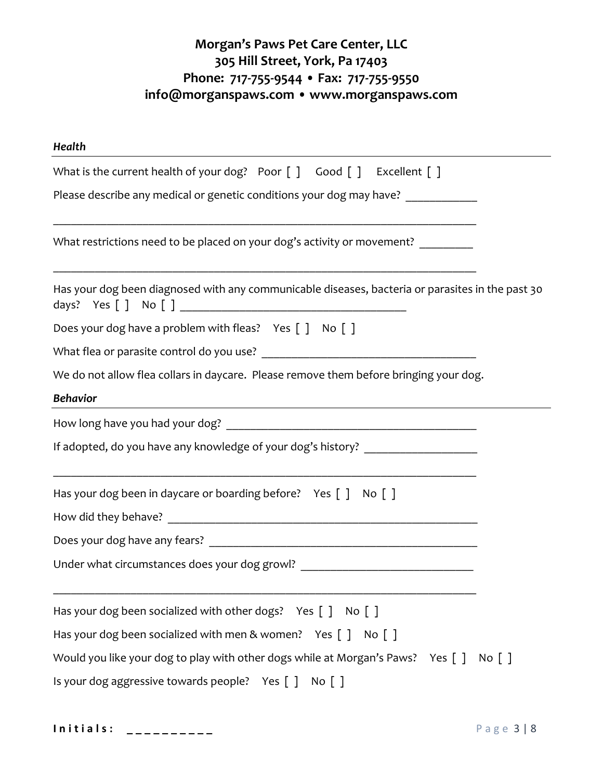| Health                                                                                           |  |  |  |  |  |  |
|--------------------------------------------------------------------------------------------------|--|--|--|--|--|--|
| What is the current health of your dog? Poor [] Good [] Excellent []                             |  |  |  |  |  |  |
| Please describe any medical or genetic conditions your dog may have? ___________                 |  |  |  |  |  |  |
| What restrictions need to be placed on your dog's activity or movement? _______                  |  |  |  |  |  |  |
| Has your dog been diagnosed with any communicable diseases, bacteria or parasites in the past 30 |  |  |  |  |  |  |
| Does your dog have a problem with fleas? Yes [ ] No [ ]                                          |  |  |  |  |  |  |
|                                                                                                  |  |  |  |  |  |  |
| We do not allow flea collars in daycare. Please remove them before bringing your dog.            |  |  |  |  |  |  |
| <b>Behavior</b>                                                                                  |  |  |  |  |  |  |
|                                                                                                  |  |  |  |  |  |  |
| If adopted, do you have any knowledge of your dog's history? ___________________                 |  |  |  |  |  |  |
| Has your dog been in daycare or boarding before? Yes [ ] No [ ]                                  |  |  |  |  |  |  |
|                                                                                                  |  |  |  |  |  |  |
|                                                                                                  |  |  |  |  |  |  |
| Under what circumstances does your dog growl? __________________________________                 |  |  |  |  |  |  |
| Has your dog been socialized with other dogs? Yes []<br>No [ ]                                   |  |  |  |  |  |  |
| Has your dog been socialized with men & women? Yes $\begin{bmatrix} 1 & No \end{bmatrix}$        |  |  |  |  |  |  |
| Would you like your dog to play with other dogs while at Morgan's Paws? Yes []<br>No [ ]         |  |  |  |  |  |  |
| Is your dog aggressive towards people? Yes []<br>No [ ]                                          |  |  |  |  |  |  |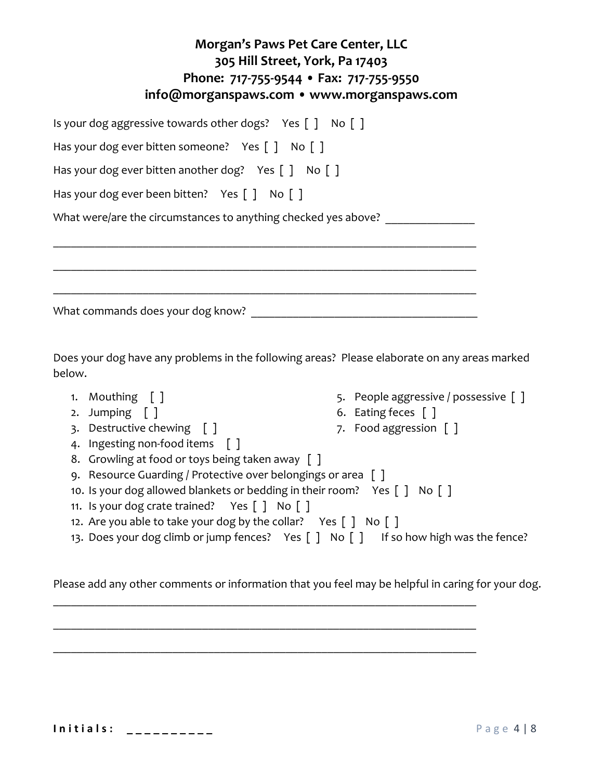| Morgan's Paws Pet Care Center, LLC<br>305 Hill Street, York, Pa 17403<br>Phone: 717-755-9544 • Fax: 717-755-9550<br>info@morganspaws.com • www.morganspaws.com |
|----------------------------------------------------------------------------------------------------------------------------------------------------------------|
| Is your dog aggressive towards other dogs? Yes $\lceil \cdot \rceil$ No $\lceil \cdot \rceil$                                                                  |
| Has your dog ever bitten someone? Yes $\lceil \cdot \rceil$ No $\lceil \cdot \rceil$                                                                           |
| Has your dog ever bitten another dog? Yes $\lceil \cdot \rceil$ No $\lceil \cdot \rceil$                                                                       |
| Has your dog ever been bitten? Yes $\lceil \cdot \rceil$ No $\lceil \cdot \rceil$                                                                              |
| What were/are the circumstances to anything checked yes above?                                                                                                 |
|                                                                                                                                                                |
| What commands does your dog know?                                                                                                                              |

Does your dog have any problems in the following areas? Please elaborate on any areas marked below.

- 1. Mouthing [ ]
- 2. Jumping [ ]
- 3. Destructive chewing [ ]
- 4. Ingesting non-food items [ ]
- 8. Growling at food or toys being taken away [ ]
- 9. Resource Guarding / Protective over belongings or area [ ]
- 10. Is your dog allowed blankets or bedding in their room? Yes [ ] No [ ]
- 11. Is your dog crate trained? Yes [ ] No [ ]
- 12. Are you able to take your dog by the collar? Yes  $\lceil$  | No  $\lceil$  |
- 13. Does your dog climb or jump fences? Yes  $\lceil \cdot \rceil$  No  $\lceil \cdot \rceil$  If so how high was the fence?

Please add any other comments or information that you feel may be helpful in caring for your dog.

**I n i t i a l s : \_ \_ \_ \_ \_ \_ \_ \_ \_ \_** P a g e 4 | 8

- 5. People aggressive / possessive [ ]
- 6. Eating feces [ ]
- 7. Food aggression [ ]
- 

- 
- 

\_\_\_\_\_\_\_\_\_\_\_\_\_\_\_\_\_\_\_\_\_\_\_\_\_\_\_\_\_\_\_\_\_\_\_\_\_\_\_\_\_\_\_\_\_\_\_\_\_\_\_\_\_\_\_\_\_\_\_\_\_\_\_\_\_\_\_\_\_\_\_

\_\_\_\_\_\_\_\_\_\_\_\_\_\_\_\_\_\_\_\_\_\_\_\_\_\_\_\_\_\_\_\_\_\_\_\_\_\_\_\_\_\_\_\_\_\_\_\_\_\_\_\_\_\_\_\_\_\_\_\_\_\_\_\_\_\_\_\_\_\_\_

\_\_\_\_\_\_\_\_\_\_\_\_\_\_\_\_\_\_\_\_\_\_\_\_\_\_\_\_\_\_\_\_\_\_\_\_\_\_\_\_\_\_\_\_\_\_\_\_\_\_\_\_\_\_\_\_\_\_\_\_\_\_\_\_\_\_\_\_\_\_\_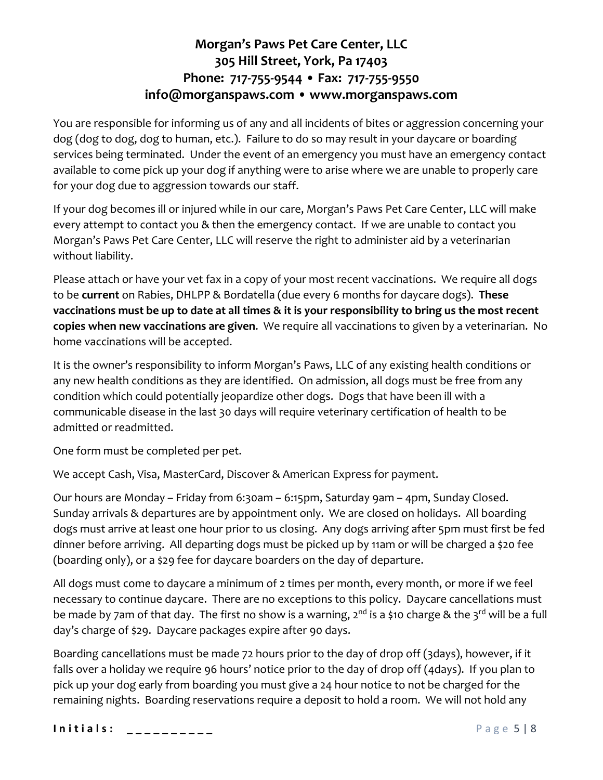You are responsible for informing us of any and all incidents of bites or aggression concerning your dog (dog to dog, dog to human, etc.). Failure to do so may result in your daycare or boarding services being terminated. Under the event of an emergency you must have an emergency contact available to come pick up your dog if anything were to arise where we are unable to properly care for your dog due to aggression towards our staff.

If your dog becomes ill or injured while in our care, Morgan's Paws Pet Care Center, LLC will make every attempt to contact you & then the emergency contact. If we are unable to contact you Morgan's Paws Pet Care Center, LLC will reserve the right to administer aid by a veterinarian without liability.

Please attach or have your vet fax in a copy of your most recent vaccinations. We require all dogs to be **current** on Rabies, DHLPP & Bordatella (due every 6 months for daycare dogs). **These vaccinations must be up to date at all times & it is your responsibility to bring us the most recent copies when new vaccinations are given**. We require all vaccinations to given by a veterinarian. No home vaccinations will be accepted.

It is the owner's responsibility to inform Morgan's Paws, LLC of any existing health conditions or any new health conditions as they are identified. On admission, all dogs must be free from any condition which could potentially jeopardize other dogs. Dogs that have been ill with a communicable disease in the last 30 days will require veterinary certification of health to be admitted or readmitted.

One form must be completed per pet.

We accept Cash, Visa, MasterCard, Discover & American Express for payment.

Our hours are Monday – Friday from 6:30am – 6:15pm, Saturday 9am – 4pm, Sunday Closed. Sunday arrivals & departures are by appointment only. We are closed on holidays. All boarding dogs must arrive at least one hour prior to us closing. Any dogs arriving after 5pm must first be fed dinner before arriving. All departing dogs must be picked up by 11am or will be charged a \$20 fee (boarding only), or a \$29 fee for daycare boarders on the day of departure.

All dogs must come to daycare a minimum of 2 times per month, every month, or more if we feel necessary to continue daycare. There are no exceptions to this policy. Daycare cancellations must be made by 7am of that day. The first no show is a warning, 2<sup>nd</sup> is a \$10 charge & the 3<sup>rd</sup> will be a full day's charge of \$29. Daycare packages expire after 90 days.

Boarding cancellations must be made 72 hours prior to the day of drop off (3days), however, if it falls over a holiday we require 96 hours' notice prior to the day of drop off (4days). If you plan to pick up your dog early from boarding you must give a 24 hour notice to not be charged for the remaining nights. Boarding reservations require a deposit to hold a room. We will not hold any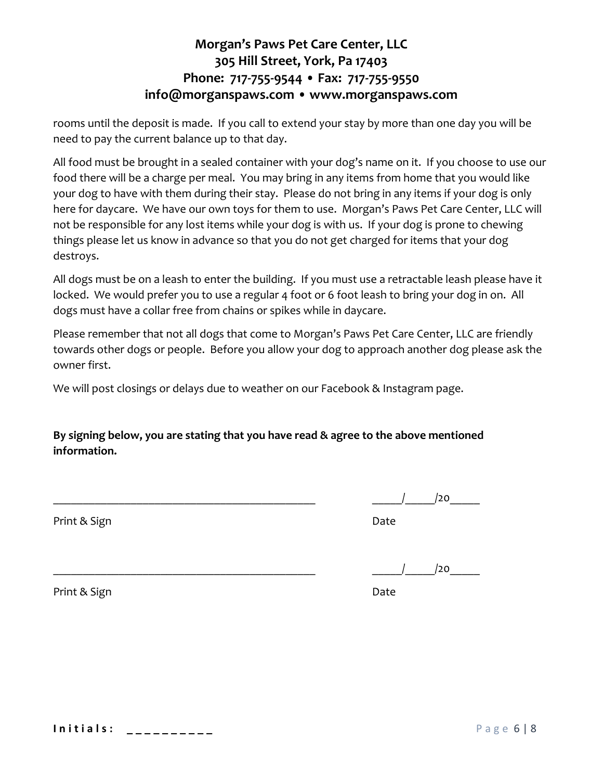rooms until the deposit is made. If you call to extend your stay by more than one day you will be need to pay the current balance up to that day.

All food must be brought in a sealed container with your dog's name on it. If you choose to use our food there will be a charge per meal. You may bring in any items from home that you would like your dog to have with them during their stay. Please do not bring in any items if your dog is only here for daycare. We have our own toys for them to use. Morgan's Paws Pet Care Center, LLC will not be responsible for any lost items while your dog is with us. If your dog is prone to chewing things please let us know in advance so that you do not get charged for items that your dog destroys.

All dogs must be on a leash to enter the building. If you must use a retractable leash please have it locked. We would prefer you to use a regular 4 foot or 6 foot leash to bring your dog in on. All dogs must have a collar free from chains or spikes while in daycare.

Please remember that not all dogs that come to Morgan's Paws Pet Care Center, LLC are friendly towards other dogs or people. Before you allow your dog to approach another dog please ask the owner first.

We will post closings or delays due to weather on our Facebook & Instagram page.

**By signing below, you are stating that you have read & agree to the above mentioned information.**

Print & Sign Date

 $/$   $/$   $/$   $/$   $/$   $20$ 

Print & Sign Date

**I n i t i a l s : \_ \_ \_ \_ \_ \_ \_ \_ \_ \_** P a g e 6 | 8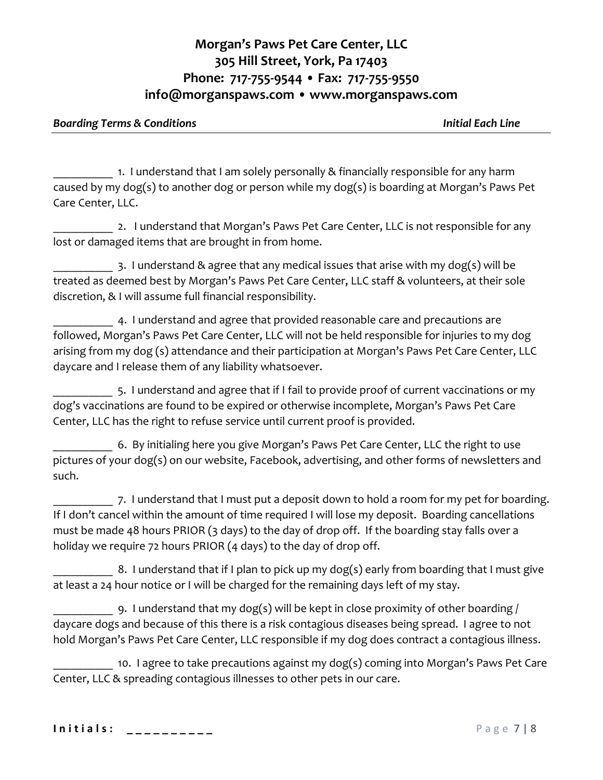#### *Boarding Terms & Conditions Initial Each Line*

1. I understand that I am solely personally & financially responsible for any harm caused by my dog(s) to another dog or person while my dog(s) is boarding at Morgan's Paws Pet Care Center, LLC.

2. I understand that Morgan's Paws Pet Care Center, LLC is not responsible for any lost or damaged items that are brought in from home.

\_\_\_\_\_\_\_\_\_\_ 3. I understand & agree that any medical issues that arise with my dog(s) will be treated as deemed best by Morgan's Paws Pet Care Center, LLC staff & volunteers, at their sole discretion, & I will assume full financial responsibility.

4. I understand and agree that provided reasonable care and precautions are followed, Morgan's Paws Pet Care Center, LLC will not be held responsible for injuries to my dog arising from my dog (s) attendance and their participation at Morgan's Paws Pet Care Center, LLC daycare and I release them of any liability whatsoever.

5. I understand and agree that if I fail to provide proof of current vaccinations or my dog's vaccinations are found to be expired or otherwise incomplete, Morgan's Paws Pet Care Center, LLC has the right to refuse service until current proof is provided.

6. By initialing here you give Morgan's Paws Pet Care Center, LLC the right to use pictures of your dog(s) on our website, Facebook, advertising, and other forms of newsletters and such.

\_\_\_\_\_\_\_\_\_\_ 7. I understand that I must put a deposit down to hold a room for my pet for boarding. If I don't cancel within the amount of time required I will lose my deposit. Boarding cancellations must be made 48 hours PRIOR (3 days) to the day of drop off. If the boarding stay falls over a holiday we require 72 hours PRIOR (4 days) to the day of drop off.

8. I understand that if I plan to pick up my dog(s) early from boarding that I must give at least a 24 hour notice or I will be charged for the remaining days left of my stay.

9. I understand that my dog(s) will be kept in close proximity of other boarding  $/$ daycare dogs and because of this there is a risk contagious diseases being spread. I agree to not hold Morgan's Paws Pet Care Center, LLC responsible if my dog does contract a contagious illness.

10. I agree to take precautions against my dog(s) coming into Morgan's Paws Pet Care Center, LLC & spreading contagious illnesses to other pets in our care.